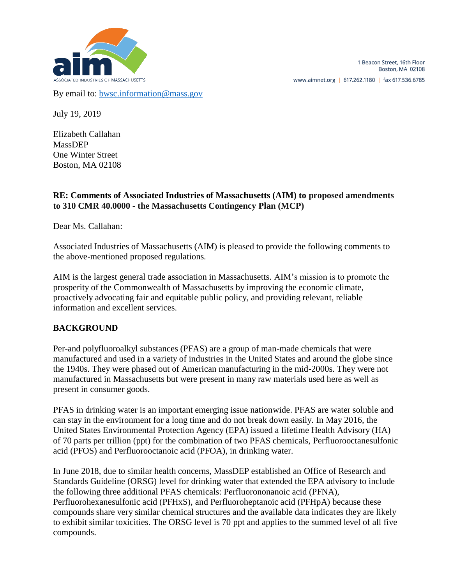

By email to: [bwsc.information@mass.gov](mailto:bwsc.information@mass.gov)

July 19, 2019

Elizabeth Callahan MassDEP One Winter Street Boston, MA 02108

### **RE: Comments of Associated Industries of Massachusetts (AIM) to proposed amendments to 310 CMR 40.0000 - the Massachusetts Contingency Plan (MCP)**

Dear Ms. Callahan:

Associated Industries of Massachusetts (AIM) is pleased to provide the following comments to the above-mentioned proposed regulations.

AIM is the largest general trade association in Massachusetts. AIM's mission is to promote the prosperity of the Commonwealth of Massachusetts by improving the economic climate, proactively advocating fair and equitable public policy, and providing relevant, reliable information and excellent services.

#### **BACKGROUND**

Per-and polyfluoroalkyl substances (PFAS) are a group of man-made chemicals that were manufactured and used in a variety of industries in the United States and around the globe since the 1940s. They were phased out of American manufacturing in the mid-2000s. They were not manufactured in Massachusetts but were present in many raw materials used here as well as present in consumer goods.

PFAS in drinking water is an important emerging issue nationwide. PFAS are water soluble and can stay in the environment for a long time and do not break down easily. In May 2016, the United States Environmental Protection Agency (EPA) issued a [lifetime Health Advisory \(HA\)](https://www.epa.gov/ground-water-and-drinking-water/drinking-water-health-advisories-pfoa-and-pfos) of 70 parts per trillion (ppt) for the combination of two PFAS chemicals, Perfluorooctanesulfonic acid (PFOS) and Perfluorooctanoic acid (PFOA), in drinking water.

In June 2018, due to similar health concerns, MassDEP established an [Office of Research and](https://www.mass.gov/doc/massdep-ors-guideline-for-pfas/download)  [Standards Guideline \(ORSG\)](https://www.mass.gov/doc/massdep-ors-guideline-for-pfas/download) level for drinking water that extended the EPA advisory to include the following three additional PFAS chemicals: Perfluorononanoic acid (PFNA), Perfluorohexanesulfonic acid (PFHxS), and Perfluoroheptanoic acid (PFHpA) because these compounds share very similar chemical structures and the available data indicates they are likely to exhibit similar toxicities. The ORSG level is 70 ppt and applies to the summed level of all five compounds.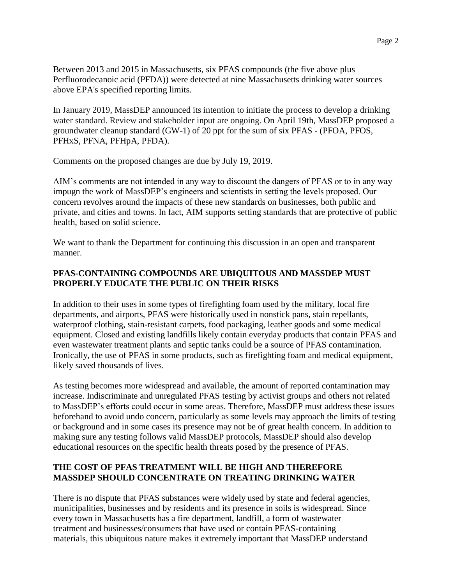Between 2013 and 2015 in Massachusetts, six PFAS compounds (the five above plus Perfluorodecanoic acid (PFDA)) were detected at nine Massachusetts drinking water sources above EPA's specified reporting limits.

In January 2019, MassDEP announced its intention to initiate the process to develop a drinking water standard. Review and stakeholder input are ongoing. On April 19th, MassDEP proposed a groundwater cleanup standard (GW-1) of 20 ppt for the sum of six PFAS - (PFOA, PFOS, PFHxS, PFNA, PFHpA, PFDA).

Comments on the proposed changes are due by July 19, 2019.

AIM's comments are not intended in any way to discount the dangers of PFAS or to in any way impugn the work of MassDEP's engineers and scientists in setting the levels proposed. Our concern revolves around the impacts of these new standards on businesses, both public and private, and cities and towns. In fact, AIM supports setting standards that are protective of public health, based on solid science.

We want to thank the Department for continuing this discussion in an open and transparent manner.

### **PFAS-CONTAINING COMPOUNDS ARE UBIQUITOUS AND MASSDEP MUST PROPERLY EDUCATE THE PUBLIC ON THEIR RISKS**

In addition to their uses in some types of firefighting foam used by the military, local fire departments, and airports, PFAS were historically used in nonstick pans, stain repellants, waterproof clothing, stain-resistant carpets, food packaging, leather goods and some medical equipment. Closed and existing landfills likely contain everyday products that contain PFAS and even wastewater treatment plants and septic tanks could be a source of PFAS contamination. Ironically, the use of PFAS in some products, such as firefighting foam and medical equipment, likely saved thousands of lives.

As testing becomes more widespread and available, the amount of reported contamination may increase. Indiscriminate and unregulated PFAS testing by activist groups and others not related to MassDEP's efforts could occur in some areas. Therefore, MassDEP must address these issues beforehand to avoid undo concern, particularly as some levels may approach the limits of testing or background and in some cases its presence may not be of great health concern. In addition to making sure any testing follows valid MassDEP protocols, MassDEP should also develop educational resources on the specific health threats posed by the presence of PFAS.

## **THE COST OF PFAS TREATMENT WILL BE HIGH AND THEREFORE MASSDEP SHOULD CONCENTRATE ON TREATING DRINKING WATER**

There is no dispute that PFAS substances were widely used by state and federal agencies, municipalities, businesses and by residents and its presence in soils is widespread. Since every town in Massachusetts has a fire department, landfill, a form of wastewater treatment and businesses/consumers that have used or contain PFAS-containing materials, this ubiquitous nature makes it extremely important that MassDEP understand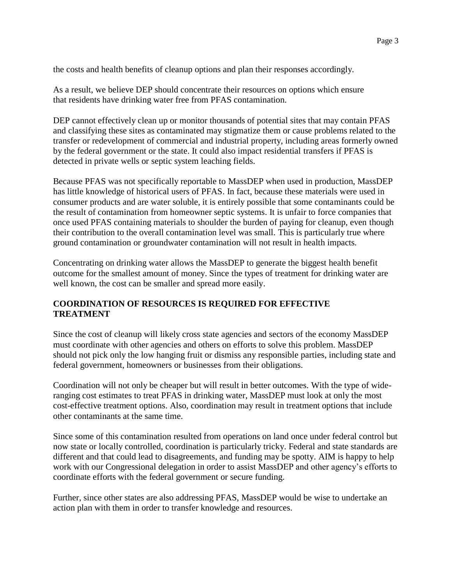the costs and health benefits of cleanup options and plan their responses accordingly.

As a result, we believe DEP should concentrate their resources on options which ensure that residents have drinking water free from PFAS contamination.

DEP cannot effectively clean up or monitor thousands of potential sites that may contain PFAS and classifying these sites as contaminated may stigmatize them or cause problems related to the transfer or redevelopment of commercial and industrial property, including areas formerly owned by the federal government or the state. It could also impact residential transfers if PFAS is detected in private wells or septic system leaching fields.

Because PFAS was not specifically reportable to MassDEP when used in production, MassDEP has little knowledge of historical users of PFAS. In fact, because these materials were used in consumer products and are water soluble, it is entirely possible that some contaminants could be the result of contamination from homeowner septic systems. It is unfair to force companies that once used PFAS containing materials to shoulder the burden of paying for cleanup, even though their contribution to the overall contamination level was small. This is particularly true where ground contamination or groundwater contamination will not result in health impacts.

Concentrating on drinking water allows the MassDEP to generate the biggest health benefit outcome for the smallest amount of money. Since the types of treatment for drinking water are well known, the cost can be smaller and spread more easily.

#### **COORDINATION OF RESOURCES IS REQUIRED FOR EFFECTIVE TREATMENT**

Since the cost of cleanup will likely cross state agencies and sectors of the economy MassDEP must coordinate with other agencies and others on efforts to solve this problem. MassDEP should not pick only the low hanging fruit or dismiss any responsible parties, including state and federal government, homeowners or businesses from their obligations.

Coordination will not only be cheaper but will result in better outcomes. With the type of wideranging cost estimates to treat PFAS in drinking water, MassDEP must look at only the most cost-effective treatment options. Also, coordination may result in treatment options that include other contaminants at the same time.

Since some of this contamination resulted from operations on land once under federal control but now state or locally controlled, coordination is particularly tricky. Federal and state standards are different and that could lead to disagreements, and funding may be spotty. AIM is happy to help work with our Congressional delegation in order to assist MassDEP and other agency's efforts to coordinate efforts with the federal government or secure funding.

Further, since other states are also addressing PFAS, MassDEP would be wise to undertake an action plan with them in order to transfer knowledge and resources.